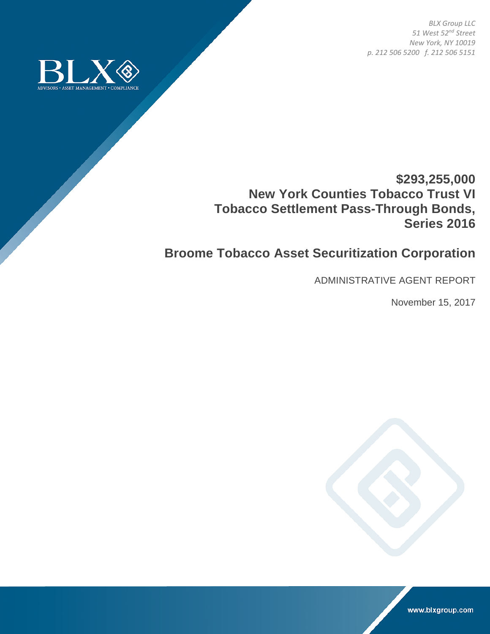*BLX Group LLC 51 West 52nd Street New York, NY 10019 p. 212 506 5200 f. 212 506 5151* 



## **\$293,255,000 New York Counties Tobacco Trust VI Tobacco Settlement Pass-Through Bonds, Series 2016**

## **Broome Tobacco Asset Securitization Corporation**

ADMINISTRATIVE AGENT REPORT

November 15, 2017



www.blxgroup.com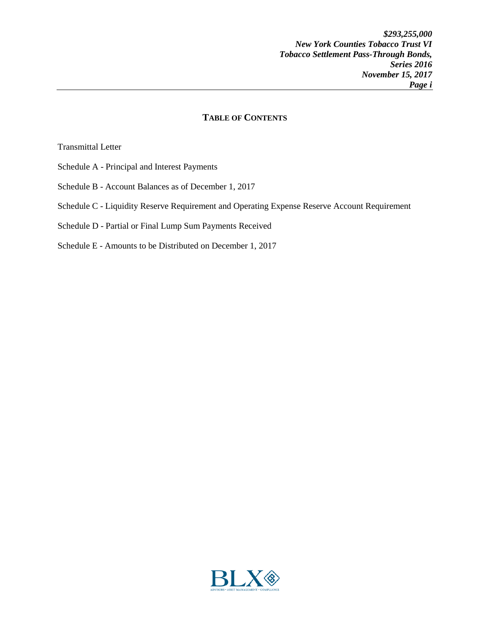## **TABLE OF CONTENTS**

Transmittal Letter

- Schedule A Principal and Interest Payments
- Schedule B Account Balances as of December 1, 2017
- Schedule C Liquidity Reserve Requirement and Operating Expense Reserve Account Requirement
- Schedule D Partial or Final Lump Sum Payments Received
- Schedule E Amounts to be Distributed on December 1, 2017

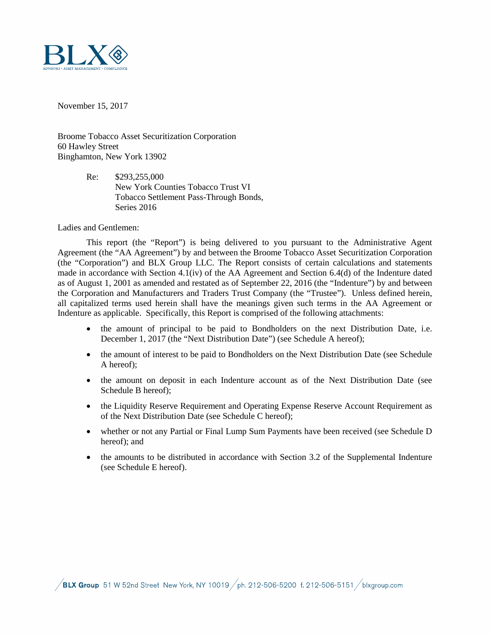

November 15, 2017

Broome Tobacco Asset Securitization Corporation 60 Hawley Street Binghamton, New York 13902

> Re: \$293,255,000 New York Counties Tobacco Trust VI Tobacco Settlement Pass-Through Bonds, Series 2016

Ladies and Gentlemen:

This report (the "Report") is being delivered to you pursuant to the Administrative Agent Agreement (the "AA Agreement") by and between the Broome Tobacco Asset Securitization Corporation (the "Corporation") and BLX Group LLC. The Report consists of certain calculations and statements made in accordance with Section 4.1(iv) of the AA Agreement and Section 6.4(d) of the Indenture dated as of August 1, 2001 as amended and restated as of September 22, 2016 (the "Indenture") by and between the Corporation and Manufacturers and Traders Trust Company (the "Trustee"). Unless defined herein, all capitalized terms used herein shall have the meanings given such terms in the AA Agreement or Indenture as applicable. Specifically, this Report is comprised of the following attachments:

- the amount of principal to be paid to Bondholders on the next Distribution Date, i.e. December 1, 2017 (the "Next Distribution Date") (see Schedule A hereof);
- the amount of interest to be paid to Bondholders on the Next Distribution Date (see Schedule A hereof);
- the amount on deposit in each Indenture account as of the Next Distribution Date (see Schedule B hereof);
- the Liquidity Reserve Requirement and Operating Expense Reserve Account Requirement as of the Next Distribution Date (see Schedule C hereof);
- whether or not any Partial or Final Lump Sum Payments have been received (see Schedule D hereof); and
- the amounts to be distributed in accordance with Section 3.2 of the Supplemental Indenture (see Schedule E hereof).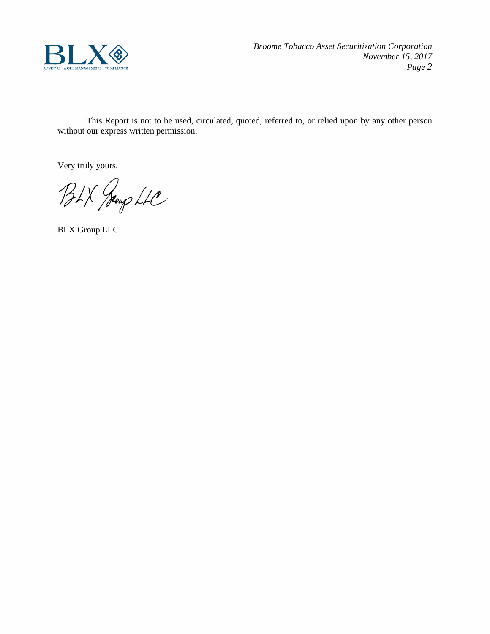

This Report is not to be used, circulated, quoted, referred to, or relied upon by any other person without our express written permission.

Very truly yours,

BLX Jeoup LLC

BLX Group LLC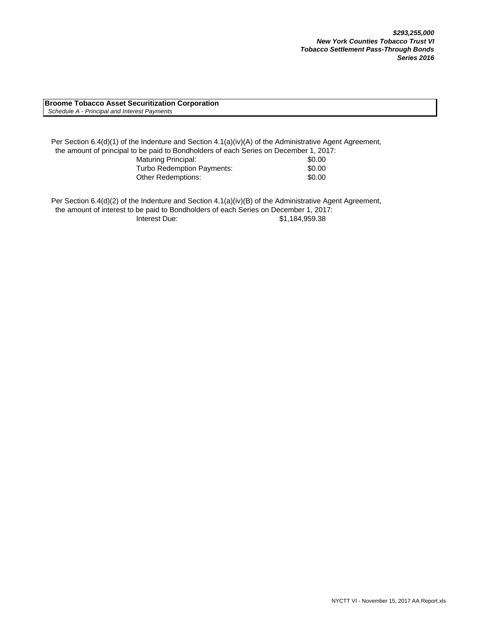**Broome Tobacco Asset Securitization Corporation**  *Schedule A - Principal and Interest Payments*

Per Section 6.4(d)(1) of the Indenture and Section 4.1(a)(iv)(A) of the Administrative Agent Agreement, the amount of principal to be paid to Bondholders of each Series on December 1, 2017: Maturing Principal: \$0.00 Turbo Redemption Payments:  $$0.00$ Other Redemptions:  $$0.00$ 

Per Section 6.4(d)(2) of the Indenture and Section 4.1(a)(iv)(B) of the Administrative Agent Agreement, the amount of interest to be paid to Bondholders of each Series on December 1, 2017: Interest Due: \$1,184,959.38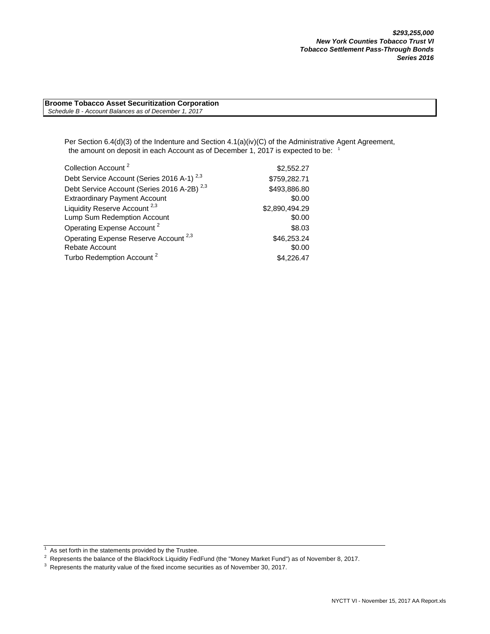**Broome Tobacco Asset Securitization Corporation**  *Schedule B - Account Balances as of December 1, 2017*

> Per Section 6.4(d)(3) of the Indenture and Section 4.1(a)(iv)(C) of the Administrative Agent Agreement, the amount on deposit in each Account as of December 1, 2017 is expected to be: <sup>1</sup>

| Collection Account <sup>2</sup>                        | \$2,552.27     |
|--------------------------------------------------------|----------------|
| Debt Service Account (Series 2016 A-1) <sup>2,3</sup>  | \$759,282.71   |
| Debt Service Account (Series 2016 A-2B) <sup>2,3</sup> | \$493,886.80   |
| <b>Extraordinary Payment Account</b>                   | \$0.00         |
| Liquidity Reserve Account <sup>2,3</sup>               | \$2,890,494.29 |
| Lump Sum Redemption Account                            | \$0.00         |
| Operating Expense Account <sup>2</sup>                 | \$8.03         |
| Operating Expense Reserve Account <sup>2,3</sup>       | \$46,253.24    |
| Rebate Account                                         | \$0.00         |
| Turbo Redemption Account <sup>2</sup>                  | \$4.226.47     |

 $1$  As set forth in the statements provided by the Trustee.

As secretaria the statements provided by the Treater.<br><sup>2</sup> Represents the balance of the BlackRock Liquidity FedFund (the "Money Market Fund") as of November 8, 2017.

 $3$  Represents the maturity value of the fixed income securities as of November 30, 2017.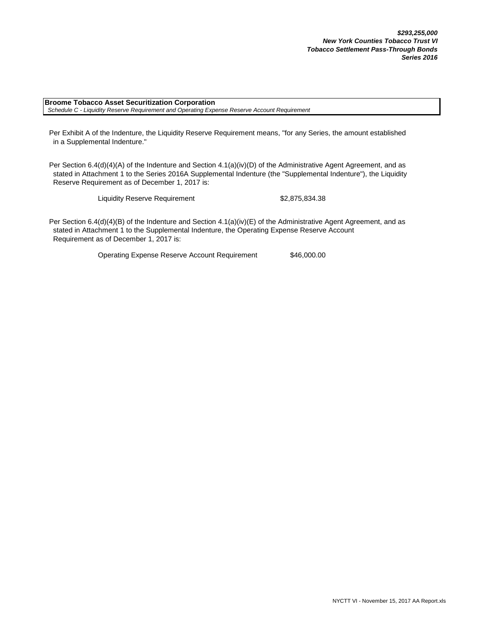**Broome Tobacco Asset Securitization Corporation**  *Schedule C - Liquidity Reserve Requirement and Operating Expense Reserve Account Requirement*

Per Exhibit A of the Indenture, the Liquidity Reserve Requirement means, "for any Series, the amount established in a Supplemental Indenture."

Per Section 6.4(d)(4)(A) of the Indenture and Section 4.1(a)(iv)(D) of the Administrative Agent Agreement, and as stated in Attachment 1 to the Series 2016A Supplemental Indenture (the "Supplemental Indenture"), the Liquidity Reserve Requirement as of December 1, 2017 is:

Liquidity Reserve Requirement \$2,875,834.38

Per Section 6.4(d)(4)(B) of the Indenture and Section 4.1(a)(iv)(E) of the Administrative Agent Agreement, and as stated in Attachment 1 to the Supplemental Indenture, the Operating Expense Reserve Account Requirement as of December 1, 2017 is:

Operating Expense Reserve Account Requirement \$46,000.00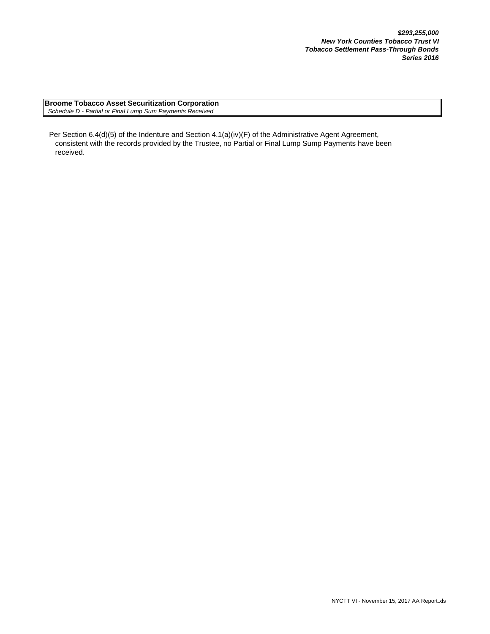**Broome Tobacco Asset Securitization Corporation**  *Schedule D - Partial or Final Lump Sum Payments Received*

Per Section 6.4(d)(5) of the Indenture and Section 4.1(a)(iv)(F) of the Administrative Agent Agreement, consistent with the records provided by the Trustee, no Partial or Final Lump Sump Payments have been received.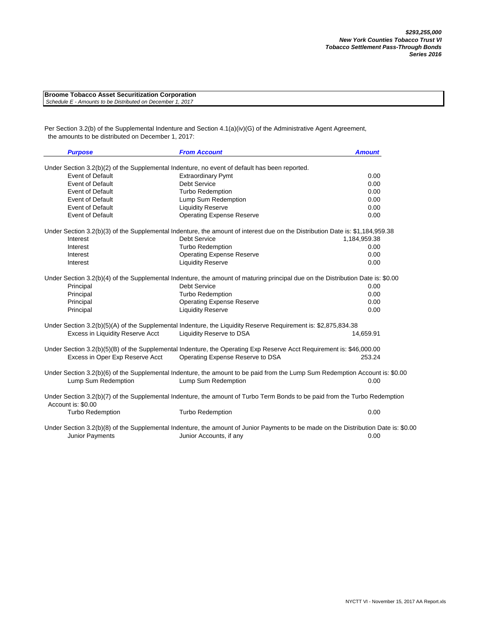**Broome Tobacco Asset Securitization Corporation**  *Schedule E - Amounts to be Distributed on December 1, 2017*

Per Section 3.2(b) of the Supplemental Indenture and Section 4.1(a)(iv)(G) of the Administrative Agent Agreement, the amounts to be distributed on December 1, 2017:

| <b>Purpose</b>                   | <b>From Account</b>                                                                                                                                 | <b>Amount</b> |
|----------------------------------|-----------------------------------------------------------------------------------------------------------------------------------------------------|---------------|
|                                  | Under Section 3.2(b)(2) of the Supplemental Indenture, no event of default has been reported.                                                       |               |
| <b>Event of Default</b>          | <b>Extraordinary Pymt</b>                                                                                                                           | 0.00          |
| <b>Event of Default</b>          | <b>Debt Service</b>                                                                                                                                 | 0.00          |
| <b>Event of Default</b>          | <b>Turbo Redemption</b>                                                                                                                             | 0.00          |
| <b>Event of Default</b>          | Lump Sum Redemption                                                                                                                                 | 0.00          |
| <b>Event of Default</b>          | <b>Liquidity Reserve</b>                                                                                                                            | 0.00          |
| <b>Event of Default</b>          | <b>Operating Expense Reserve</b>                                                                                                                    | 0.00          |
|                                  | Under Section 3.2(b)(3) of the Supplemental Indenture, the amount of interest due on the Distribution Date is: \$1,184,959.38                       |               |
| Interest                         | <b>Debt Service</b>                                                                                                                                 | 1,184,959.38  |
| Interest                         | <b>Turbo Redemption</b>                                                                                                                             | 0.00          |
| Interest                         | <b>Operating Expense Reserve</b>                                                                                                                    | 0.00          |
| Interest                         | <b>Liquidity Reserve</b>                                                                                                                            | 0.00          |
|                                  | Under Section 3.2(b)(4) of the Supplemental Indenture, the amount of maturing principal due on the Distribution Date is: \$0.00                     |               |
| Principal                        | <b>Debt Service</b>                                                                                                                                 | 0.00          |
| Principal                        | <b>Turbo Redemption</b>                                                                                                                             | 0.00          |
| Principal                        | <b>Operating Expense Reserve</b>                                                                                                                    | 0.00          |
| Principal                        | <b>Liquidity Reserve</b>                                                                                                                            | 0.00          |
|                                  | Under Section 3.2(b)(5)(A) of the Supplemental Indenture, the Liquidity Reserve Requirement is: \$2,875,834.38                                      |               |
| Excess in Liquidity Reserve Acct | Liquidity Reserve to DSA                                                                                                                            | 14,659.91     |
|                                  | Under Section 3.2(b)(5)(B) of the Supplemental Indenture, the Operating Exp Reserve Acct Requirement is: \$46,000.00                                |               |
| Excess in Oper Exp Reserve Acct  | Operating Expense Reserve to DSA                                                                                                                    | 253.24        |
| Lump Sum Redemption              | Under Section 3.2(b)(6) of the Supplemental Indenture, the amount to be paid from the Lump Sum Redemption Account is: \$0.00<br>Lump Sum Redemption | 0.00          |
|                                  |                                                                                                                                                     |               |
| Account is: \$0.00               | Under Section 3.2(b)(7) of the Supplemental Indenture, the amount of Turbo Term Bonds to be paid from the Turbo Redemption                          |               |
| <b>Turbo Redemption</b>          | <b>Turbo Redemption</b>                                                                                                                             | 0.00          |
|                                  | Under Section 3.2(b)(8) of the Supplemental Indenture, the amount of Junior Payments to be made on the Distribution Date is: \$0.00                 |               |
| <b>Junior Payments</b>           | Junior Accounts, if any                                                                                                                             | 0.00          |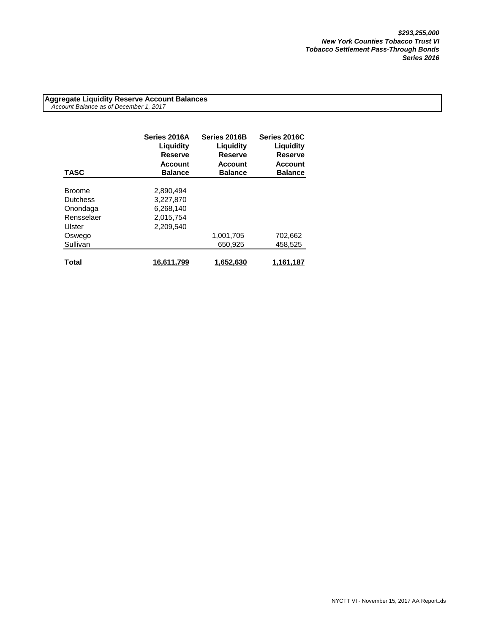**Aggregate Liquidity Reserve Account Balances**  *Account Balance as of December 1, 2017*

| <b>TASC</b>     | Series 2016A<br>Liquidity<br>Reserve<br><b>Account</b><br><b>Balance</b> | Series 2016B<br>Liquidity<br><b>Reserve</b><br><b>Account</b><br><b>Balance</b> | Series 2016C<br>Liquidity<br><b>Reserve</b><br><b>Account</b><br><b>Balance</b> |
|-----------------|--------------------------------------------------------------------------|---------------------------------------------------------------------------------|---------------------------------------------------------------------------------|
|                 |                                                                          |                                                                                 |                                                                                 |
| <b>Broome</b>   | 2,890,494                                                                |                                                                                 |                                                                                 |
| <b>Dutchess</b> | 3,227,870                                                                |                                                                                 |                                                                                 |
| Onondaga        | 6.268.140                                                                |                                                                                 |                                                                                 |
| Rensselaer      | 2,015,754                                                                |                                                                                 |                                                                                 |
| Ulster          | 2.209.540                                                                |                                                                                 |                                                                                 |
| Oswego          |                                                                          | 1,001,705                                                                       | 702,662                                                                         |
| Sullivan        |                                                                          | 650,925                                                                         | 458,525                                                                         |
|                 |                                                                          |                                                                                 |                                                                                 |
| Total           | 16,611,799                                                               | 1.652.630                                                                       | 1.161.187                                                                       |